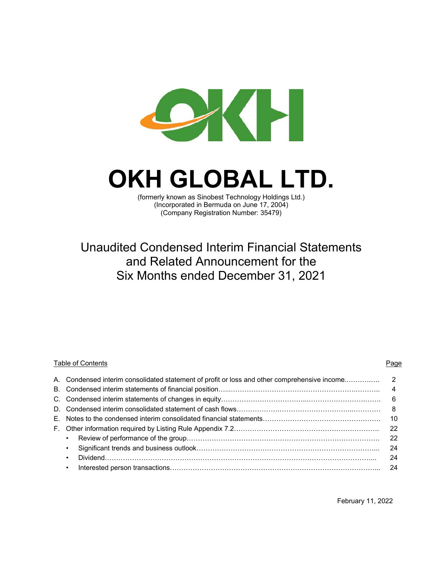

# **OKH GLOBAL LTD.**

(formerly known as Sinobest Technology Holdings Ltd.) (Incorporated in Bermuda on June 17, 2004) (Company Registration Number: 35479)

## Unaudited Condensed Interim Financial Statements and Related Announcement for the Six Months ended December 31, 2021

## Table of Contents **Page** A. Condensed interim consolidated statement of profit or loss and other comprehensive income..……….…. 2 B. Condensed interim statements of financial position…...……………………………………………….……….. 4 C. Condensed interim statements of changes in equity………………………………...…………………….……. 6 D. Condensed interim consolidated statement of cash flows……………….…………………………...………… 8 E. Notes to the condensed interim consolidated financial statements……………………………………………. 10 F. Other information required by Listing Rule Appendix 7.2………………………………………………………. 22 • Review of performance of the group…………………………………………………………………………. 22 • Significant trends and business outlook……………………………………………………………………... 24 • Dividend………………………………………………………………………………………………………... 24 • Interested person transactions………………………………………………………………………………... 24

February 11, 2022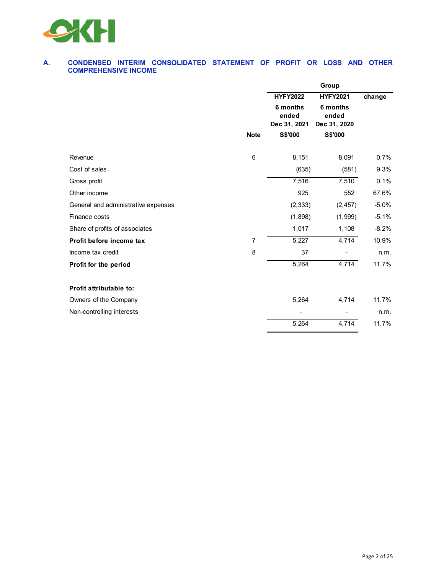

#### **A. CONDENSED INTERIM CONSOLIDATED STATEMENT OF PROFIT OR LOSS AND OTHER COMPREHENSIVE INCOME**

|                                     |                | Group                             |                                   |         |  |
|-------------------------------------|----------------|-----------------------------------|-----------------------------------|---------|--|
|                                     |                | <b>HYFY2022</b>                   | <b>HYFY2021</b>                   | change  |  |
|                                     |                | 6 months<br>ended<br>Dec 31, 2021 | 6 months<br>ended<br>Dec 31, 2020 |         |  |
|                                     | <b>Note</b>    | S\$'000                           | S\$'000                           |         |  |
| Revenue                             | 6              | 8,151                             | 8,091                             | 0.7%    |  |
| Cost of sales                       |                | (635)                             | (581)                             | 9.3%    |  |
| Gross profit                        |                | 7,516                             | 7,510                             | 0.1%    |  |
| Other income                        |                | 925                               | 552                               | 67.6%   |  |
| General and administrative expenses |                | (2, 333)                          | (2, 457)                          | $-5.0%$ |  |
| Finance costs                       |                | (1,898)                           | (1,999)                           | $-5.1%$ |  |
| Share of profits of associates      |                | 1,017                             | 1,108                             | $-8.2%$ |  |
| Profit before income tax            | $\overline{7}$ | 5,227                             | 4,714                             | 10.9%   |  |
| Income tax credit                   | 8              | 37                                |                                   | n.m.    |  |
| Profit for the period               |                | 5,264                             | 4,714                             | 11.7%   |  |
| Profit attributable to:             |                |                                   |                                   |         |  |
| Owners of the Company               |                | 5,264                             | 4,714                             | 11.7%   |  |
| Non-controlling interests           |                |                                   |                                   | n.m.    |  |
|                                     |                | 5,264                             | 4,714                             | 11.7%   |  |
|                                     |                |                                   |                                   |         |  |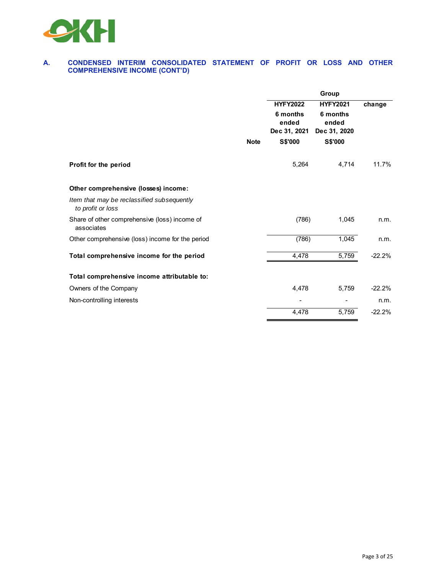

#### **A. CONDENSED INTERIM CONSOLIDATED STATEMENT OF PROFIT OR LOSS AND OTHER COMPREHENSIVE INCOME (CONT'D)**

|                                                                 |             | Group                                                |                                                      |          |  |  |
|-----------------------------------------------------------------|-------------|------------------------------------------------------|------------------------------------------------------|----------|--|--|
|                                                                 |             | <b>HYFY2022</b><br>6 months<br>ended<br>Dec 31, 2021 | <b>HYFY2021</b><br>6 months<br>ended<br>Dec 31, 2020 | change   |  |  |
|                                                                 | <b>Note</b> | S\$'000                                              | <b>S\$'000</b>                                       |          |  |  |
| Profit for the period                                           |             | 5,264                                                | 4,714                                                | 11.7%    |  |  |
| Other comprehensive (losses) income:                            |             |                                                      |                                                      |          |  |  |
| Item that may be reclassified subsequently<br>to profit or loss |             |                                                      |                                                      |          |  |  |
| Share of other comprehensive (loss) income of<br>associates     |             | (786)                                                | 1,045                                                | n.m.     |  |  |
| Other comprehensive (loss) income for the period                |             | (786)                                                | 1,045                                                | n.m.     |  |  |
| Total comprehensive income for the period                       |             | 4,478                                                | 5,759                                                | $-22.2%$ |  |  |
| Total comprehensive income attributable to:                     |             |                                                      |                                                      |          |  |  |
| Owners of the Company                                           |             | 4,478                                                | 5,759                                                | $-22.2%$ |  |  |
| Non-controlling interests                                       |             |                                                      |                                                      | n.m.     |  |  |
|                                                                 |             | 4,478                                                | 5,759                                                | $-22.2%$ |  |  |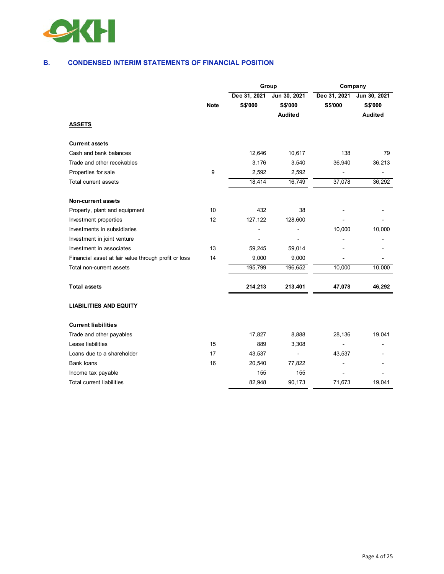

#### **B. CONDENSED INTERIM STATEMENTS OF FINANCIAL POSITION**

|                                                      |             | Group                   |                                    | Company                 |                                           |  |
|------------------------------------------------------|-------------|-------------------------|------------------------------------|-------------------------|-------------------------------------------|--|
|                                                      | <b>Note</b> | Dec 31, 2021<br>S\$'000 | Jun 30, 2021<br>S\$'000<br>Audited | Dec 31, 2021<br>S\$'000 | Jun 30, 2021<br><b>S\$'000</b><br>Audited |  |
| <b>ASSETS</b>                                        |             |                         |                                    |                         |                                           |  |
| <b>Current assets</b>                                |             |                         |                                    |                         |                                           |  |
| Cash and bank balances                               |             | 12,646                  | 10,617                             | 138                     | 79                                        |  |
| Trade and other receivables                          |             | 3,176                   | 3,540                              | 36,940                  | 36,213                                    |  |
| Properties for sale                                  | 9           | 2,592                   | 2,592                              |                         | L,                                        |  |
| Total current assets                                 |             | 18,414                  | 16,749                             | 37,078                  | 36,292                                    |  |
| Non-current assets                                   |             |                         |                                    |                         |                                           |  |
| Property, plant and equipment                        | 10          | 432                     | 38                                 |                         |                                           |  |
| Investment properties                                | 12          | 127,122                 | 128,600                            |                         |                                           |  |
| Investments in subsidiaries                          |             |                         |                                    | 10,000                  | 10,000                                    |  |
| Investment in joint venture                          |             |                         |                                    |                         |                                           |  |
| Investment in associates                             | 13          | 59,245                  | 59,014                             |                         |                                           |  |
| Financial asset at fair value through profit or loss | 14          | 9,000                   | 9,000                              |                         |                                           |  |
| Total non-current assets                             |             | 195,799                 | 196,652                            | 10,000                  | 10,000                                    |  |
| <b>Total assets</b>                                  |             | 214,213                 | 213,401                            | 47,078                  | 46,292                                    |  |
| <b>LIABILITIES AND EQUITY</b>                        |             |                         |                                    |                         |                                           |  |
| <b>Current liabilities</b>                           |             |                         |                                    |                         |                                           |  |
| Trade and other payables                             |             | 17,827                  | 8,888                              | 28,136                  | 19,041                                    |  |
| Lease liabilities                                    | 15          | 889                     | 3,308                              |                         |                                           |  |
| Loans due to a shareholder                           | 17          | 43,537                  |                                    | 43,537                  |                                           |  |
| <b>Bank loans</b>                                    | 16          | 20,540                  | 77,822                             |                         |                                           |  |
| Income tax payable                                   |             | 155                     | 155                                |                         |                                           |  |
| <b>Total current liabilities</b>                     |             | 82,948                  | 90,173                             | 71,673                  | 19,041                                    |  |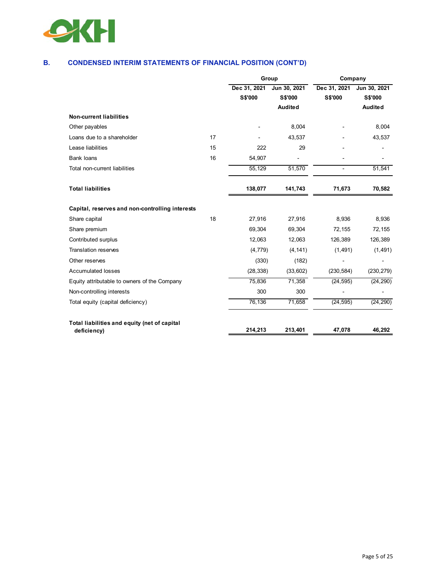

## **B. CONDENSED INTERIM STATEMENTS OF FINANCIAL POSITION (CONT'D)**

|                                                             |    |              | Group          | Company        |                |  |
|-------------------------------------------------------------|----|--------------|----------------|----------------|----------------|--|
|                                                             |    | Dec 31, 2021 | Jun 30, 2021   | Dec 31, 2021   | Jun 30, 2021   |  |
|                                                             |    | S\$'000      | <b>S\$'000</b> | <b>S\$'000</b> | <b>S\$'000</b> |  |
|                                                             |    |              | <b>Audited</b> |                | <b>Audited</b> |  |
| <b>Non-current liabilities</b>                              |    |              |                |                |                |  |
| Other payables                                              |    |              | 8,004          |                | 8,004          |  |
| Loans due to a shareholder                                  | 17 |              | 43,537         |                | 43,537         |  |
| Lease liabilities                                           | 15 | 222          | 29             |                |                |  |
| <b>Bank loans</b>                                           | 16 | 54,907       |                |                |                |  |
| Total non-current liabilities                               |    | 55,129       | 51,570         |                | 51,541         |  |
| <b>Total liabilities</b>                                    |    | 138,077      | 141,743        | 71,673         | 70,582         |  |
| Capital, reserves and non-controlling interests             |    |              |                |                |                |  |
| Share capital                                               | 18 | 27,916       | 27,916         | 8,936          | 8,936          |  |
| Share premium                                               |    | 69,304       | 69,304         | 72,155         | 72,155         |  |
| Contributed surplus                                         |    | 12,063       | 12,063         | 126,389        | 126,389        |  |
| <b>Translation reserves</b>                                 |    | (4, 779)     | (4, 141)       | (1, 491)       | (1, 491)       |  |
| Other reserves                                              |    | (330)        | (182)          |                |                |  |
| <b>Accumulated losses</b>                                   |    | (28, 338)    | (33,602)       | (230, 584)     | (230, 279)     |  |
| Equity attributable to owners of the Company                |    | 75,836       | 71,358         | (24, 595)      | (24, 290)      |  |
| Non-controlling interests                                   |    | 300          | 300            |                |                |  |
| Total equity (capital deficiency)                           |    | 76,136       | 71,658         | (24, 595)      | (24, 290)      |  |
| Total liabilities and equity (net of capital<br>deficiency) |    | 214,213      | 213,401        | 47,078         | 46,292         |  |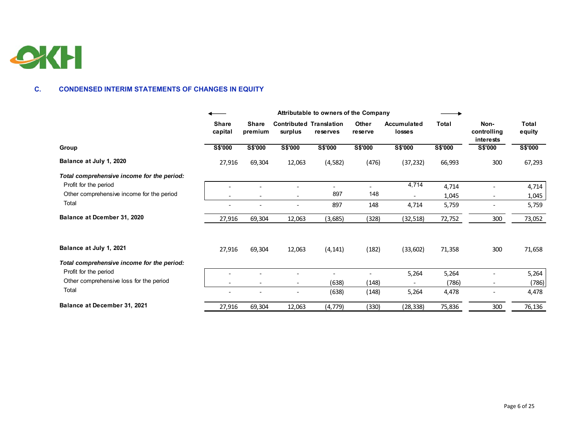

#### **C. CONDENSED INTERIM STATEMENTS OF CHANGES IN EQUITY**

|                                            | Attributable to owners of the Company |                         |                                           |          |                         |                       |         |                                  |                 |
|--------------------------------------------|---------------------------------------|-------------------------|-------------------------------------------|----------|-------------------------|-----------------------|---------|----------------------------------|-----------------|
|                                            | <b>Share</b><br>capital               | <b>Share</b><br>premium | <b>Contributed Translation</b><br>surplus | reserves | <b>Other</b><br>reserve | Accumulated<br>losses | Total   | Non-<br>controlling<br>interests | Total<br>equity |
| Group                                      | <b>S\$'000</b>                        | S\$'000                 | S\$'000                                   | S\$'000  | S\$'000                 | S\$'000               | S\$'000 | <b>S\$'000</b>                   | S\$'000         |
| Balance at July 1, 2020                    | 27,916                                | 69,304                  | 12,063                                    | (4, 582) | (476)                   | (37, 232)             | 66,993  | 300                              | 67,293          |
| Total comprehensive income for the period: |                                       |                         |                                           |          |                         |                       |         |                                  |                 |
| Profit for the period                      |                                       |                         |                                           |          |                         | 4,714                 | 4,714   |                                  | 4,714           |
| Other comprehensive income for the period  |                                       |                         |                                           | 897      | 148                     |                       | 1,045   |                                  | 1,045           |
| Total                                      |                                       |                         |                                           | 897      | 148                     | 4,714                 | 5,759   |                                  | 5,759           |
| Balance at Dcember 31, 2020                | 27,916                                | 69,304                  | 12,063                                    | (3,685)  | (328)                   | (32,518)              | 72,752  | 300                              | 73,052          |
| Balance at July 1, 2021                    | 27,916                                | 69,304                  | 12,063                                    | (4, 141) | (182)                   | (33, 602)             | 71,358  | 300                              | 71,658          |
| Total comprehensive income for the period: |                                       |                         |                                           |          |                         |                       |         |                                  |                 |
| Profit for the period                      |                                       |                         |                                           |          |                         | 5,264                 | 5,264   |                                  | 5,264           |
| Other comprehensive loss for the period    |                                       |                         | $\overline{\phantom{a}}$                  | (638)    | (148)                   |                       | (786)   |                                  | (786)           |
| Total                                      |                                       |                         |                                           | (638)    | (148)                   | 5,264                 | 4,478   |                                  | 4,478           |
| Balance at December 31, 2021               | 27,916                                | 69,304                  | 12,063                                    | (4, 779) | (330)                   | (28, 338)             | 75,836  | 300                              | 76,136          |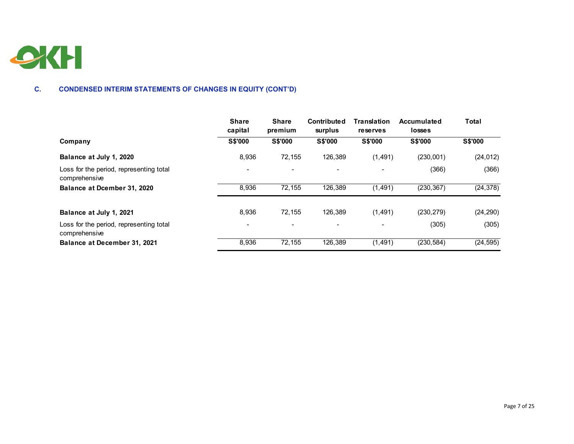

#### **C. CONDENSED INTERIM STATEMENTS OF CHANGES IN EQUITY (CONT'D)**

|                                                          | <b>Share</b><br>capital  | <b>Share</b><br>premium | <b>Contributed</b><br>surplus | <b>Translation</b><br>reserves | Accumulated<br>losses | <b>Total</b>   |
|----------------------------------------------------------|--------------------------|-------------------------|-------------------------------|--------------------------------|-----------------------|----------------|
| Company                                                  | <b>S\$'000</b>           | <b>S\$'000</b>          | <b>S\$'000</b>                | <b>S\$'000</b>                 | <b>S\$'000</b>        | <b>S\$'000</b> |
| Balance at July 1, 2020                                  | 8,936                    | 72,155                  | 126,389                       | (1,491)                        | (230,001)             | (24, 012)      |
| Loss for the period, representing total<br>comprehensive | $\overline{\phantom{0}}$ |                         |                               |                                | (366)                 | (366)          |
| Balance at Dcember 31, 2020                              | 8,936                    | 72,155                  | 126,389                       | (1, 491)                       | (230, 367)            | (24, 378)      |
| Balance at July 1, 2021                                  | 8.936                    | 72.155                  | 126.389                       | (1, 491)                       | (230, 279)            | (24, 290)      |
| Loss for the period, representing total<br>comprehensive |                          |                         |                               |                                | (305)                 | (305)          |
| Balance at December 31, 2021                             | 8,936                    | 72,155                  | 126,389                       | (1, 491)                       | (230, 584)            | (24, 595)      |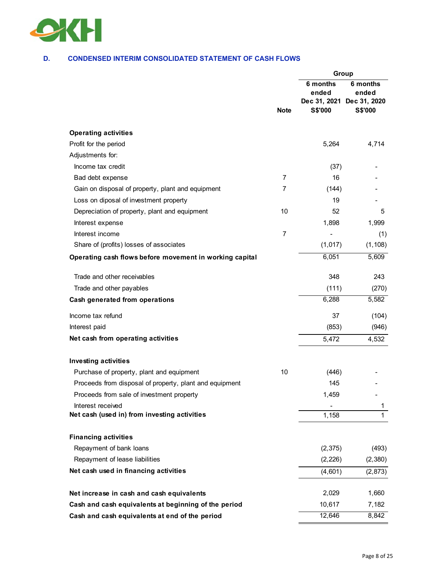

#### **D. CONDENSED INTERIM CONSOLIDATED STATEMENT OF CASH FLOWS**

|                                                         |                |                                              | Group                                        |  |  |
|---------------------------------------------------------|----------------|----------------------------------------------|----------------------------------------------|--|--|
|                                                         | <b>Note</b>    | 6 months<br>ended<br>Dec 31, 2021<br>S\$'000 | 6 months<br>ended<br>Dec 31, 2020<br>S\$'000 |  |  |
|                                                         |                |                                              |                                              |  |  |
| <b>Operating activities</b>                             |                |                                              |                                              |  |  |
| Profit for the period                                   |                | 5,264                                        | 4,714                                        |  |  |
| Adjustments for:                                        |                |                                              |                                              |  |  |
| Income tax credit                                       |                | (37)                                         |                                              |  |  |
| Bad debt expense                                        | $\overline{7}$ | 16                                           |                                              |  |  |
| Gain on disposal of property, plant and equipment       | 7              | (144)                                        |                                              |  |  |
| Loss on diposal of investment property                  |                | 19                                           |                                              |  |  |
| Depreciation of property, plant and equipment           | 10             | 52                                           | 5                                            |  |  |
| Interest expense                                        |                | 1,898                                        | 1,999                                        |  |  |
| Interest income                                         | $\overline{7}$ |                                              | (1)                                          |  |  |
| Share of (profits) losses of associates                 |                | (1,017)                                      | (1, 108)                                     |  |  |
| Operating cash flows before movement in working capital |                | 6,051                                        | 5,609                                        |  |  |
| Trade and other receivables                             |                | 348                                          | 243                                          |  |  |
| Trade and other payables                                |                | (111)                                        | (270)                                        |  |  |
| Cash generated from operations                          |                | 6,288                                        | $\overline{5,582}$                           |  |  |
| Income tax refund                                       |                | 37                                           | (104)                                        |  |  |
| Interest paid                                           |                | (853)                                        | (946)                                        |  |  |
| Net cash from operating activities                      |                | 5,472                                        | 4,532                                        |  |  |
| <b>Investing activities</b>                             |                |                                              |                                              |  |  |
| Purchase of property, plant and equipment               | 10             | (446)                                        |                                              |  |  |
| Proceeds from disposal of property, plant and equipment |                | 145                                          |                                              |  |  |
| Proceeds from sale of investment property               |                | 1,459                                        |                                              |  |  |
| Interest received                                       |                |                                              | 1                                            |  |  |
| Net cash (used in) from investing activities            |                | 1,158                                        | $\mathbf 1$                                  |  |  |
| <b>Financing activities</b>                             |                |                                              |                                              |  |  |
| Repayment of bank loans                                 |                | (2, 375)                                     | (493)                                        |  |  |
| Repayment of lease liabilities                          |                | (2, 226)                                     | (2,380)                                      |  |  |
| Net cash used in financing activities                   |                | (4,601)                                      | (2,873)                                      |  |  |
|                                                         |                |                                              |                                              |  |  |
| Net increase in cash and cash equivalents               |                | 2,029                                        | 1,660                                        |  |  |
| Cash and cash equivalents at beginning of the period    |                | 10,617                                       | 7,182                                        |  |  |
| Cash and cash equivalents at end of the period          |                | 12,646                                       | 8,842                                        |  |  |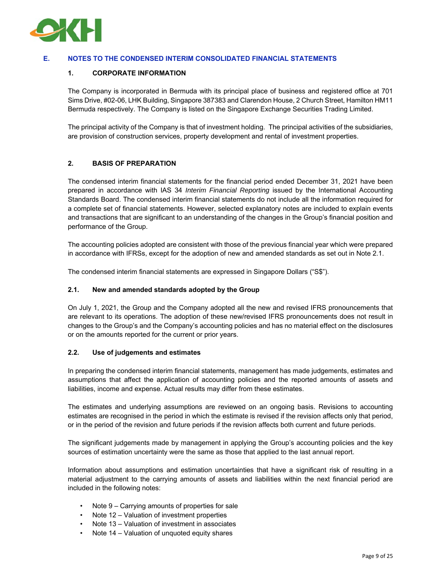

#### **E. NOTES TO THE CONDENSED INTERIM CONSOLIDATED FINANCIAL STATEMENTS**

#### **1. CORPORATE INFORMATION**

The Company is incorporated in Bermuda with its principal place of business and registered office at 701 Sims Drive, #02-06, LHK Building, Singapore 387383 and Clarendon House, 2 Church Street, Hamilton HM11 Bermuda respectively. The Company is listed on the Singapore Exchange Securities Trading Limited.

The principal activity of the Company is that of investment holding. The principal activities of the subsidiaries, are provision of construction services, property development and rental of investment properties.

#### **2. BASIS OF PREPARATION**

The condensed interim financial statements for the financial period ended December 31, 2021 have been prepared in accordance with IAS 34 *Interim Financial Reporting* issued by the International Accounting Standards Board. The condensed interim financial statements do not include all the information required for a complete set of financial statements. However, selected explanatory notes are included to explain events and transactions that are significant to an understanding of the changes in the Group's financial position and performance of the Group.

The accounting policies adopted are consistent with those of the previous financial year which were prepared in accordance with IFRSs, except for the adoption of new and amended standards as set out in Note 2.1.

The condensed interim financial statements are expressed in Singapore Dollars ("S\$").

#### **2.1. New and amended standards adopted by the Group**

On July 1, 2021, the Group and the Company adopted all the new and revised IFRS pronouncements that are relevant to its operations. The adoption of these new/revised IFRS pronouncements does not result in changes to the Group's and the Company's accounting policies and has no material effect on the disclosures or on the amounts reported for the current or prior years.

#### **2.2. Use of judgements and estimates**

In preparing the condensed interim financial statements, management has made judgements, estimates and assumptions that affect the application of accounting policies and the reported amounts of assets and liabilities, income and expense. Actual results may differ from these estimates.

The estimates and underlying assumptions are reviewed on an ongoing basis. Revisions to accounting estimates are recognised in the period in which the estimate is revised if the revision affects only that period, or in the period of the revision and future periods if the revision affects both current and future periods.

The significant judgements made by management in applying the Group's accounting policies and the key sources of estimation uncertainty were the same as those that applied to the last annual report.

Information about assumptions and estimation uncertainties that have a significant risk of resulting in a material adjustment to the carrying amounts of assets and liabilities within the next financial period are included in the following notes:

- Note 9 Carrying amounts of properties for sale
- Note 12 Valuation of investment properties
- Note 13 Valuation of investment in associates
- Note 14 Valuation of unquoted equity shares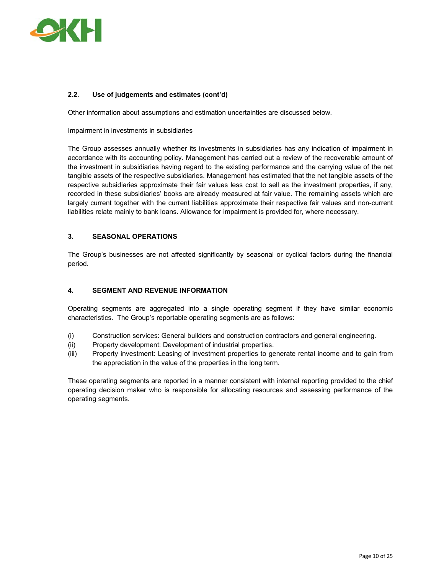

#### **2.2. Use of judgements and estimates (cont'd)**

Other information about assumptions and estimation uncertainties are discussed below.

#### Impairment in investments in subsidiaries

The Group assesses annually whether its investments in subsidiaries has any indication of impairment in accordance with its accounting policy. Management has carried out a review of the recoverable amount of the investment in subsidiaries having regard to the existing performance and the carrying value of the net tangible assets of the respective subsidiaries. Management has estimated that the net tangible assets of the respective subsidiaries approximate their fair values less cost to sell as the investment properties, if any, recorded in these subsidiaries' books are already measured at fair value. The remaining assets which are largely current together with the current liabilities approximate their respective fair values and non-current liabilities relate mainly to bank loans. Allowance for impairment is provided for, where necessary.

#### **3. SEASONAL OPERATIONS**

The Group's businesses are not affected significantly by seasonal or cyclical factors during the financial period.

#### **4. SEGMENT AND REVENUE INFORMATION**

Operating segments are aggregated into a single operating segment if they have similar economic characteristics. The Group's reportable operating segments are as follows:

- (i) Construction services: General builders and construction contractors and general engineering.
- (ii) Property development: Development of industrial properties.
- (iii) Property investment: Leasing of investment properties to generate rental income and to gain from the appreciation in the value of the properties in the long term.

These operating segments are reported in a manner consistent with internal reporting provided to the chief operating decision maker who is responsible for allocating resources and assessing performance of the operating segments.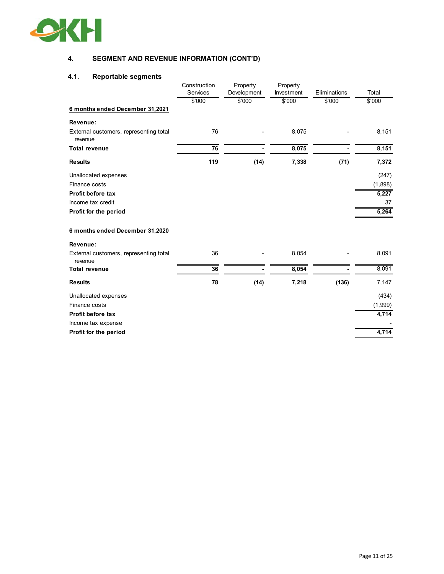

## **4. SEGMENT AND REVENUE INFORMATION (CONT'D)**

## **4.1. Reportable segments**

|                                                   | Construction<br>Services | Property<br>Development | Property<br>Investment | Eliminations | Total   |
|---------------------------------------------------|--------------------------|-------------------------|------------------------|--------------|---------|
|                                                   | \$'000                   | \$'000                  | \$'000                 | \$'000       | \$'000  |
| 6 months ended December 31,2021                   |                          |                         |                        |              |         |
| Revenue:                                          |                          |                         |                        |              |         |
| External customers, representing total<br>revenue | 76                       |                         | 8,075                  |              | 8,151   |
| <b>Total revenue</b>                              | 76                       |                         | 8,075                  |              | 8,151   |
| <b>Results</b>                                    | 119                      | (14)                    | 7,338                  | (71)         | 7,372   |
| Unallocated expenses                              |                          |                         |                        |              | (247)   |
| Finance costs                                     |                          |                         |                        |              | (1,898) |
| Profit before tax                                 |                          |                         |                        |              | 5,227   |
| Income tax credit                                 |                          |                         |                        |              | 37      |
| Profit for the period                             |                          |                         |                        |              | 5,264   |
| 6 months ended December 31,2020                   |                          |                         |                        |              |         |
| Revenue:                                          |                          |                         |                        |              |         |
| External customers, representing total<br>revenue | 36                       |                         | 8,054                  |              | 8,091   |
| <b>Total revenue</b>                              | 36                       |                         | 8,054                  |              | 8,091   |
| <b>Results</b>                                    | 78                       | (14)                    | 7,218                  | (136)        | 7,147   |
| Unallocated expenses                              |                          |                         |                        |              | (434)   |
| Finance costs                                     |                          |                         |                        |              | (1,999) |
| Profit before tax                                 |                          |                         |                        |              | 4,714   |
| Income tax expense                                |                          |                         |                        |              |         |
| Profit for the period                             |                          |                         |                        |              | 4,714   |
|                                                   |                          |                         |                        |              |         |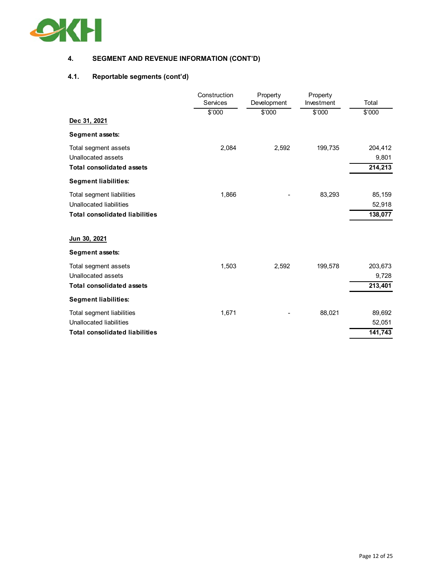

## **4. SEGMENT AND REVENUE INFORMATION (CONT'D)**

## **4.1. Reportable segments (cont'd)**

|                                       | Construction<br>Services | Property<br>Development | Property<br>Investment | Total   |
|---------------------------------------|--------------------------|-------------------------|------------------------|---------|
|                                       | \$'000                   | \$'000                  | \$'000                 | \$'000  |
| Dec 31, 2021                          |                          |                         |                        |         |
| Segment assets:                       |                          |                         |                        |         |
| Total segment assets                  | 2,084                    | 2,592                   | 199,735                | 204,412 |
| Unallocated assets                    |                          |                         |                        | 9,801   |
| <b>Total consolidated assets</b>      |                          |                         |                        | 214,213 |
| <b>Segment liabilities:</b>           |                          |                         |                        |         |
| Total segment liabilities             | 1,866                    |                         | 83,293                 | 85,159  |
| Unallocated liabilities               |                          |                         |                        | 52,918  |
| <b>Total consolidated liabilities</b> |                          |                         |                        | 138,077 |
| Jun 30, 2021                          |                          |                         |                        |         |
| Segment assets:                       |                          |                         |                        |         |
| Total segment assets                  | 1,503                    | 2,592                   | 199,578                | 203,673 |
| Unallocated assets                    |                          |                         |                        | 9,728   |
| <b>Total consolidated assets</b>      |                          |                         |                        | 213,401 |
| <b>Segment liabilities:</b>           |                          |                         |                        |         |
| Total segment liabilities             | 1,671                    |                         | 88,021                 | 89,692  |
| Unallocated liabilities               |                          |                         |                        | 52,051  |
| <b>Total consolidated liabilities</b> |                          |                         |                        | 141,743 |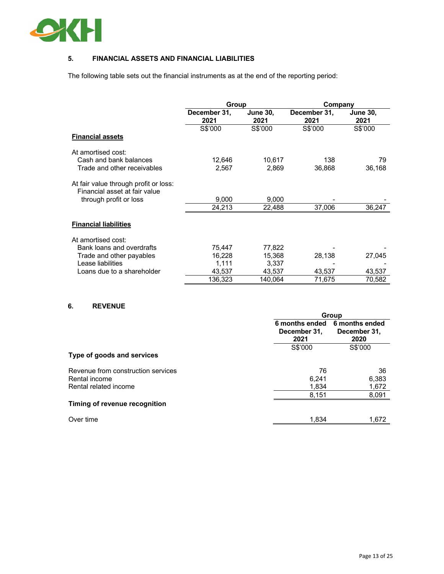

#### **5. FINANCIAL ASSETS AND FINANCIAL LIABILITIES**

The following table sets out the financial instruments as at the end of the reporting period:

|                                                                        | <b>Group</b>         |                         | Company              |                         |  |
|------------------------------------------------------------------------|----------------------|-------------------------|----------------------|-------------------------|--|
|                                                                        | December 31,<br>2021 | <b>June 30,</b><br>2021 | December 31,<br>2021 | <b>June 30,</b><br>2021 |  |
|                                                                        | S\$'000              | S\$'000                 | S\$'000              | S\$'000                 |  |
| <b>Financial assets</b>                                                |                      |                         |                      |                         |  |
| At amortised cost:                                                     |                      |                         |                      |                         |  |
| Cash and bank balances                                                 | 12,646               | 10,617                  | 138                  | 79                      |  |
| Trade and other receivables                                            | 2,567                | 2,869                   | 36,868               | 36,168                  |  |
| At fair value through profit or loss:<br>Financial asset at fair value |                      |                         |                      |                         |  |
| through profit or loss                                                 | 9,000                | 9,000                   |                      |                         |  |
|                                                                        | 24,213               | 22,488                  | 37,006               | 36,247                  |  |
| <b>Financial liabilities</b>                                           |                      |                         |                      |                         |  |
| At amortised cost:                                                     |                      |                         |                      |                         |  |
| Bank loans and overdrafts                                              | 75,447               | 77,822                  |                      |                         |  |
| Trade and other payables                                               | 16,228               | 15,368                  | 28,138               | 27,045                  |  |
| Lease liabilities                                                      | 1,111                | 3,337                   |                      |                         |  |
| Loans due to a shareholder                                             | 43,537               | 43,537                  | 43,537               | 43,537                  |  |
|                                                                        | 136,323              | 140,064                 | 71,675               | 70,582                  |  |

#### **6. REVENUE**

|                                    |                                        | Group                                  |  |  |  |  |
|------------------------------------|----------------------------------------|----------------------------------------|--|--|--|--|
|                                    | 6 months ended<br>December 31,<br>2021 | 6 months ended<br>December 31,<br>2020 |  |  |  |  |
|                                    | S\$'000                                | S\$'000                                |  |  |  |  |
| Type of goods and services         |                                        |                                        |  |  |  |  |
| Revenue from construction services | 76                                     | 36                                     |  |  |  |  |
| Rental income                      | 6,241                                  | 6,383                                  |  |  |  |  |
| Rental related income              | 1,834                                  | 1,672                                  |  |  |  |  |
|                                    | 8,151                                  | 8,091                                  |  |  |  |  |
| Timing of revenue recognition      |                                        |                                        |  |  |  |  |
| Over time                          | 1.834                                  | 1.672                                  |  |  |  |  |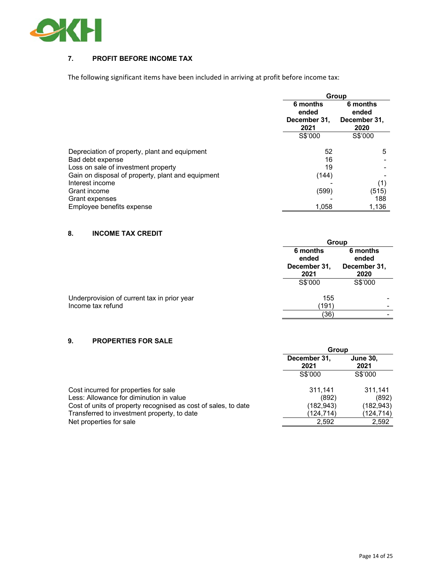

#### **7. PROFIT BEFORE INCOME TAX**

The following significant items have been included in arriving at profit before income tax:

|                                                   | Group                             |                                   |  |  |
|---------------------------------------------------|-----------------------------------|-----------------------------------|--|--|
|                                                   | 6 months<br>ended<br>December 31, | 6 months<br>ended<br>December 31, |  |  |
|                                                   | 2021                              | 2020                              |  |  |
|                                                   | S\$'000                           | S\$'000                           |  |  |
| Depreciation of property, plant and equipment     | 52                                | 5                                 |  |  |
| Bad debt expense                                  | 16                                |                                   |  |  |
| Loss on sale of investment property               | 19                                |                                   |  |  |
| Gain on disposal of property, plant and equipment | (144)                             |                                   |  |  |
| Interest income                                   |                                   | (1)                               |  |  |
| Grant income                                      | (599)                             | (515)                             |  |  |
| Grant expenses                                    |                                   | 188                               |  |  |
| Employee benefits expense                         | 1,058                             | 1,136                             |  |  |

#### **8. INCOME TAX CREDIT**

|                                                                  | Group                                     |                                           |
|------------------------------------------------------------------|-------------------------------------------|-------------------------------------------|
|                                                                  | 6 months<br>ended<br>December 31,<br>2021 | 6 months<br>ended<br>December 31,<br>2020 |
|                                                                  | S\$'000                                   | S\$'000                                   |
| Underprovision of current tax in prior year<br>Income tax refund | 155<br>(191)                              |                                           |
|                                                                  | (36)                                      |                                           |

#### **9. PROPERTIES FOR SALE**

|                                                                | Group                |                         |  |
|----------------------------------------------------------------|----------------------|-------------------------|--|
|                                                                | December 31,<br>2021 | <b>June 30,</b><br>2021 |  |
|                                                                | S\$'000              | S\$'000                 |  |
| Cost incurred for properties for sale                          | 311,141              | 311.141                 |  |
| Less: Allowance for diminution in value                        | (892)                | (892)                   |  |
| Cost of units of property recognised as cost of sales, to date | (182, 943)           | (182, 943)              |  |
| Transferred to investment property, to date                    | (124, 714)           | (124,714)               |  |
| Net properties for sale                                        | 2.592                | 2,592                   |  |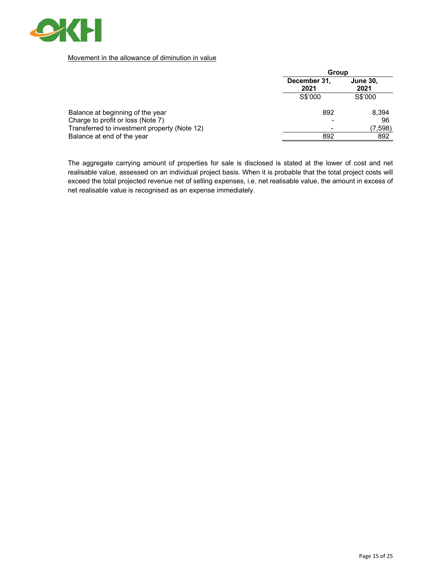

#### Movement in the allowance of diminution in value

|                                              | Group                |                         |  |
|----------------------------------------------|----------------------|-------------------------|--|
|                                              | December 31,<br>2021 | <b>June 30,</b><br>2021 |  |
|                                              | S\$'000              | S\$'000                 |  |
| Balance at beginning of the year             | 892                  | 8,394                   |  |
| Charge to profit or loss (Note 7)            |                      | 96                      |  |
| Transferred to investment property (Note 12) |                      | (7,598)                 |  |
| Balance at end of the year                   | 892                  | 892                     |  |
|                                              |                      |                         |  |

The aggregate carrying amount of properties for sale is disclosed is stated at the lower of cost and net realisable value, assessed on an individual project basis. When it is probable that the total project costs will exceed the total projected revenue net of selling expenses, i.e. net realisable value, the amount in excess of net realisable value is recognised as an expense immediately.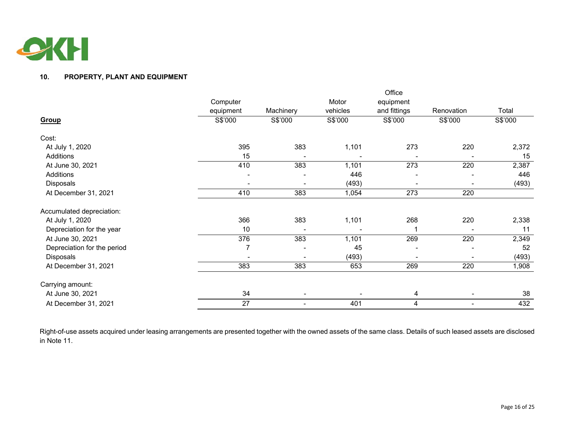

#### **10. PROPERTY, PLANT AND EQUIPMENT**

|                             |           |                          |          | Office       |                          |         |
|-----------------------------|-----------|--------------------------|----------|--------------|--------------------------|---------|
|                             | Computer  |                          | Motor    | equipment    |                          |         |
|                             | equipment | Machinery                | vehicles | and fittings | Renovation               | Total   |
| Group                       | S\$'000   | S\$'000                  | S\$'000  | S\$'000      | S\$'000                  | S\$'000 |
| Cost:                       |           |                          |          |              |                          |         |
| At July 1, 2020             | 395       | 383                      | 1,101    | 273          | 220                      | 2,372   |
| Additions                   | 15        |                          |          |              |                          | 15      |
| At June 30, 2021            | 410       | 383                      | 1,101    | 273          | 220                      | 2,387   |
| Additions                   |           |                          | 446      |              |                          | 446     |
| Disposals                   |           | $\overline{\phantom{a}}$ | (493)    |              | $\overline{\phantom{a}}$ | (493)   |
| At December 31, 2021        | 410       | 383                      | 1,054    | 273          | 220                      |         |
| Accumulated depreciation:   |           |                          |          |              |                          |         |
| At July 1, 2020             | 366       | 383                      | 1,101    | 268          | 220                      | 2,338   |
| Depreciation for the year   | 10        |                          |          |              |                          | 11      |
| At June 30, 2021            | 376       | 383                      | 1,101    | 269          | 220                      | 2,349   |
| Depreciation for the period | 7         |                          | 45       |              |                          | 52      |
| Disposals                   |           | $\overline{\phantom{a}}$ | (493)    |              |                          | (493)   |
| At December 31, 2021        | 383       | 383                      | 653      | 269          | 220                      | 1,908   |
| Carrying amount:            |           |                          |          |              |                          |         |
| At June 30, 2021            | 34        |                          |          | 4            |                          | 38      |
| At December 31, 2021        | 27        |                          | 401      | 4            | $\overline{\phantom{a}}$ | 432     |

Right-of-use assets acquired under leasing arrangements are presented together with the owned assets of the same class. Details of such leased assets are disclosed in Note 11.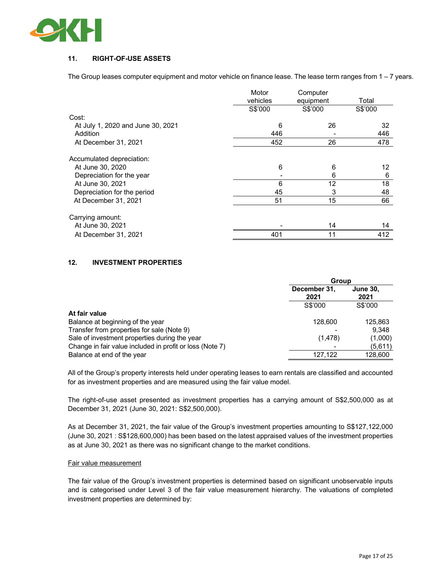

#### **11. RIGHT-OF-USE ASSETS**

The Group leases computer equipment and motor vehicle on finance lease. The lease term ranges from 1 – 7 years.

|                                   | Motor    | Computer  |         |
|-----------------------------------|----------|-----------|---------|
|                                   | vehicles | equipment | Total   |
|                                   | S\$'000  | S\$'000   | S\$'000 |
| Cost:                             |          |           |         |
| At July 1, 2020 and June 30, 2021 | 6        | 26        | 32      |
| Addition                          | 446      |           | 446     |
| At December 31, 2021              | 452      | 26        | 478     |
| Accumulated depreciation:         |          |           |         |
| At June 30, 2020                  | 6        | 6         | 12      |
| Depreciation for the year         |          | 6         | 6       |
| At June 30, 2021                  | 6        | 12        | 18      |
| Depreciation for the period       | 45       | 3         | 48      |
| At December 31, 2021              | 51       | 15        | 66      |
| Carrying amount:                  |          |           |         |
| At June 30, 2021                  |          | 14        | 14      |
| At December 31, 2021              | 401      | 11        | 412     |

#### **12. INVESTMENT PROPERTIES**

|                                                          | <b>Group</b>         |                         |  |
|----------------------------------------------------------|----------------------|-------------------------|--|
|                                                          | December 31,<br>2021 | <b>June 30,</b><br>2021 |  |
|                                                          | S\$'000              | S\$'000                 |  |
| At fair value                                            |                      |                         |  |
| Balance at beginning of the year                         | 128,600              | 125,863                 |  |
| Transfer from properties for sale (Note 9)               |                      | 9,348                   |  |
| Sale of investment properties during the year            | (1, 478)             | (1,000)                 |  |
| Change in fair value included in profit or loss (Note 7) |                      | (5,611)                 |  |
| Balance at end of the year                               | 127.122              | 128,600                 |  |

All of the Group's property interests held under operating leases to earn rentals are classified and accounted for as investment properties and are measured using the fair value model.

The right-of-use asset presented as investment properties has a carrying amount of S\$2,500,000 as at December 31, 2021 (June 30, 2021: S\$2,500,000).

As at December 31, 2021, the fair value of the Group's investment properties amounting to S\$127,122,000 (June 30, 2021 : S\$128,600,000) has been based on the latest appraised values of the investment properties as at June 30, 2021 as there was no significant change to the market conditions.

#### Fair value measurement

The fair value of the Group's investment properties is determined based on significant unobservable inputs and is categorised under Level 3 of the fair value measurement hierarchy. The valuations of completed investment properties are determined by: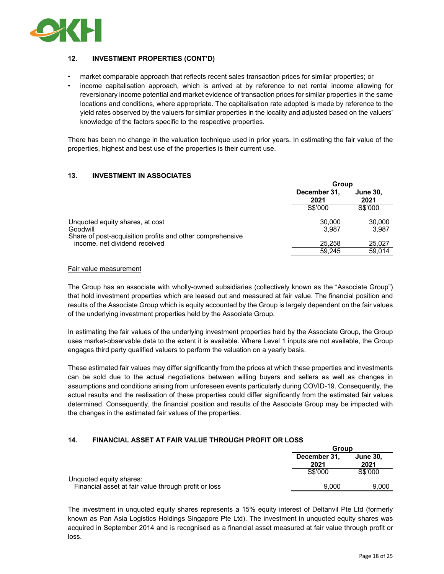

#### **12. INVESTMENT PROPERTIES (CONT'D)**

- market comparable approach that reflects recent sales transaction prices for similar properties; or
- income capitalisation approach, which is arrived at by reference to net rental income allowing for reversionary income potential and market evidence of transaction prices for similar properties in the same locations and conditions, where appropriate. The capitalisation rate adopted is made by reference to the yield rates observed by the valuers for similar properties in the locality and adjusted based on the valuers' knowledge of the factors specific to the respective properties.

There has been no change in the valuation technique used in prior years. In estimating the fair value of the properties, highest and best use of the properties is their current use.

#### **13. INVESTMENT IN ASSOCIATES**

|                                                                       | <b>Group</b>                                    |         |
|-----------------------------------------------------------------------|-------------------------------------------------|---------|
|                                                                       | December 31,<br><b>June 30,</b><br>2021<br>2021 |         |
|                                                                       | S\$'000                                         | S\$'000 |
| Unquoted equity shares, at cost                                       | 30,000                                          | 30,000  |
| Goodwill<br>Share of post-acquisition profits and other comprehensive | 3.987                                           | 3.987   |
| income, net dividend received                                         | 25.258                                          | 25,027  |
|                                                                       | 59.245                                          | 59.014  |

#### Fair value measurement

The Group has an associate with wholly-owned subsidiaries (collectively known as the "Associate Group") that hold investment properties which are leased out and measured at fair value. The financial position and results of the Associate Group which is equity accounted by the Group is largely dependent on the fair values of the underlying investment properties held by the Associate Group.

In estimating the fair values of the underlying investment properties held by the Associate Group, the Group uses market-observable data to the extent it is available. Where Level 1 inputs are not available, the Group engages third party qualified valuers to perform the valuation on a yearly basis.

These estimated fair values may differ significantly from the prices at which these properties and investments can be sold due to the actual negotiations between willing buyers and sellers as well as changes in assumptions and conditions arising from unforeseen events particularly during COVID-19. Consequently, the actual results and the realisation of these properties could differ significantly from the estimated fair values determined. Consequently, the financial position and results of the Associate Group may be impacted with the changes in the estimated fair values of the properties.

#### **14. FINANCIAL ASSET AT FAIR VALUE THROUGH PROFIT OR LOSS**

|                                                                                 | Group                |                         |  |
|---------------------------------------------------------------------------------|----------------------|-------------------------|--|
|                                                                                 | December 31,<br>2021 | <b>June 30,</b><br>2021 |  |
|                                                                                 | S\$'000              | S\$'000                 |  |
| Unquoted equity shares:<br>Financial asset at fair value through profit or loss | 9.000                | 9.000                   |  |

The investment in unquoted equity shares represents a 15% equity interest of Deltanvil Pte Ltd (formerly known as Pan Asia Logistics Holdings Singapore Pte Ltd). The investment in unquoted equity shares was acquired in September 2014 and is recognised as a financial asset measured at fair value through profit or loss.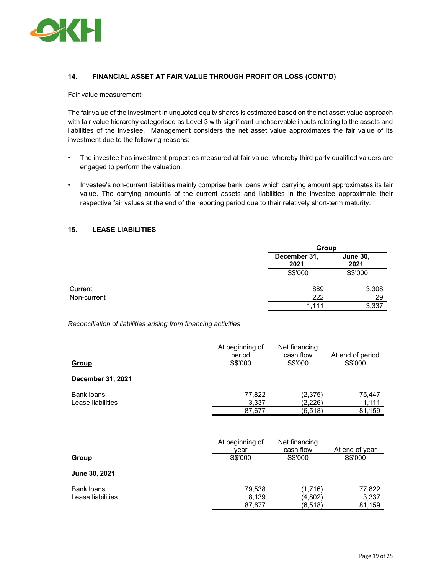

#### **14. FINANCIAL ASSET AT FAIR VALUE THROUGH PROFIT OR LOSS (CONT'D)**

#### Fair value measurement

The fair value of the investment in unquoted equity shares is estimated based on the net asset value approach with fair value hierarchy categorised as Level 3 with significant unobservable inputs relating to the assets and liabilities of the investee. Management considers the net asset value approximates the fair value of its investment due to the following reasons:

- The investee has investment properties measured at fair value, whereby third party qualified valuers are engaged to perform the valuation.
- Investee's non-current liabilities mainly comprise bank loans which carrying amount approximates its fair value. The carrying amounts of the current assets and liabilities in the investee approximate their respective fair values at the end of the reporting period due to their relatively short-term maturity.

#### **15. LEASE LIABILITIES**

|             |                      | Group                   |  |
|-------------|----------------------|-------------------------|--|
|             | December 31,<br>2021 | <b>June 30,</b><br>2021 |  |
|             | S\$'000              | S\$'000                 |  |
| Current     | 889                  | 3,308                   |  |
| Non-current | 222                  | 29                      |  |
|             | 1.111                | 3,337                   |  |

*Reconciliation of liabilities arising from financing activities* 

|                   | At beginning of<br>period | Net financing<br>cash flow | At end of period |
|-------------------|---------------------------|----------------------------|------------------|
| Group             | S\$'000                   | S\$'000                    | S\$'000          |
| December 31, 2021 |                           |                            |                  |
| Bank loans        | 77,822                    | (2, 375)                   | 75,447           |
| Lease liabilities | 3,337                     | (2,226)                    | 1,111            |
|                   | 87,677                    | (6, 518)                   | 81,159           |
|                   | At beginning of<br>year   | Net financing<br>cash flow | At end of year   |
| <b>Group</b>      | S\$'000                   | S\$'000                    | S\$'000          |
| June 30, 2021     |                           |                            |                  |
| Bank loans        | 79,538                    | (1,716)                    | 77,822           |
| Lease liabilities | 8,139                     | (4,802)                    | 3,337            |
|                   | 87,677                    | (6, 518)                   | 81,159           |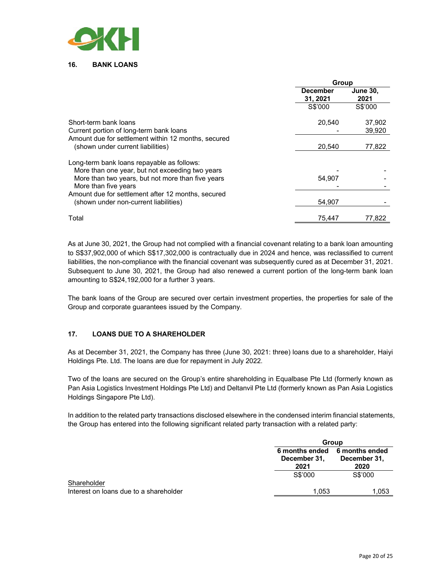

**16. BANK LOANS** 

|                                                     | Group                       |                         |
|-----------------------------------------------------|-----------------------------|-------------------------|
|                                                     | <b>December</b><br>31, 2021 | <b>June 30,</b><br>2021 |
|                                                     | S\$'000                     | S\$'000                 |
| Short-term bank loans                               | 20.540                      | 37,902                  |
| Current portion of long-term bank loans             |                             | 39.920                  |
| Amount due for settlement within 12 months, secured |                             |                         |
| (shown under current liabilities)                   | 20,540                      | 77,822                  |
| Long-term bank loans repayable as follows:          |                             |                         |
| More than one year, but not exceeding two years     |                             |                         |
| More than two years, but not more than five years   | 54,907                      |                         |
| More than five years                                |                             |                         |
| Amount due for settlement after 12 months, secured  |                             |                         |
| (shown under non-current liabilities)               | 54,907                      |                         |
| Total                                               | 75.447                      | 77.822                  |

As at June 30, 2021, the Group had not complied with a financial covenant relating to a bank loan amounting to S\$37,902,000 of which S\$17,302,000 is contractually due in 2024 and hence, was reclassified to current liabilities, the non-compliance with the financial covenant was subsequently cured as at December 31, 2021. Subsequent to June 30, 2021, the Group had also renewed a current portion of the long-term bank loan amounting to S\$24,192,000 for a further 3 years.

The bank loans of the Group are secured over certain investment properties, the properties for sale of the Group and corporate guarantees issued by the Company.

#### **17. LOANS DUE TO A SHAREHOLDER**

As at December 31, 2021, the Company has three (June 30, 2021: three) loans due to a shareholder, Haiyi Holdings Pte. Ltd. The loans are due for repayment in July 2022.

Two of the loans are secured on the Group's entire shareholding in Equalbase Pte Ltd (formerly known as Pan Asia Logistics Investment Holdings Pte Ltd) and Deltanvil Pte Ltd (formerly known as Pan Asia Logistics Holdings Singapore Pte Ltd).

In addition to the related party transactions disclosed elsewhere in the condensed interim financial statements, the Group has entered into the following significant related party transaction with a related party:

|                                                       |                                        | Group                                  |  |  |
|-------------------------------------------------------|----------------------------------------|----------------------------------------|--|--|
|                                                       | 6 months ended<br>December 31,<br>2021 | 6 months ended<br>December 31,<br>2020 |  |  |
|                                                       | S\$'000                                | S\$'000                                |  |  |
| Shareholder<br>Interest on loans due to a shareholder | 1,053                                  | 1,053                                  |  |  |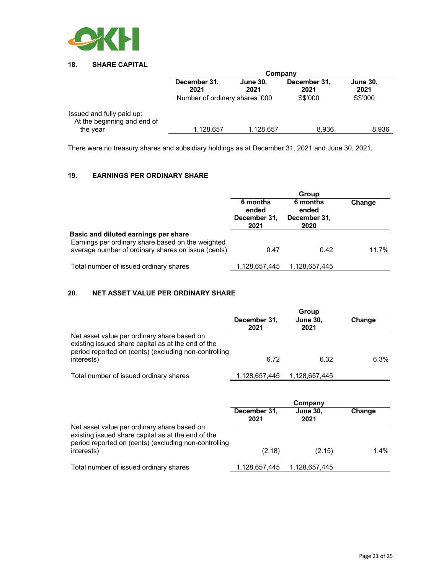

#### **18. SHARE CAPITAL**

|                                                          | Company                        |                         |                      |                         |
|----------------------------------------------------------|--------------------------------|-------------------------|----------------------|-------------------------|
|                                                          | December 31,<br>2021           | <b>June 30,</b><br>2021 | December 31,<br>2021 | <b>June 30,</b><br>2021 |
|                                                          | Number of ordinary shares '000 |                         | S\$'000              | S\$'000                 |
| Issued and fully paid up:<br>At the beginning and end of |                                |                         |                      |                         |
| the year                                                 | 1,128,657                      | 1,128,657               | 8.936                | 8,936                   |

There were no treasury shares and subsidiary holdings as at December 31, 2021 and June 30, 2021.

### **19. EARNINGS PER ORDINARY SHARE**

|                                                                                                                                                 | Group                                     |                                           |        |
|-------------------------------------------------------------------------------------------------------------------------------------------------|-------------------------------------------|-------------------------------------------|--------|
|                                                                                                                                                 | 6 months<br>ended<br>December 31,<br>2021 | 6 months<br>ended<br>December 31,<br>2020 | Change |
| Basic and diluted earnings per share<br>Earnings per ordinary share based on the weighted<br>average number of ordinary shares on issue (cents) | 0.47                                      | 0.42                                      | 11.7%  |
| Total number of issued ordinary shares                                                                                                          | 1,128,657,445                             | 1,128,657,445                             |        |

#### **20. NET ASSET VALUE PER ORDINARY SHARE**

|                                                                                                                                                            | Group                |                         |        |
|------------------------------------------------------------------------------------------------------------------------------------------------------------|----------------------|-------------------------|--------|
|                                                                                                                                                            | December 31,<br>2021 | <b>June 30,</b><br>2021 | Change |
| Net asset value per ordinary share based on<br>existing issued share capital as at the end of the<br>period reported on (cents) (excluding non-controlling |                      |                         |        |
| interests)                                                                                                                                                 | 6.72                 | 6.32                    | 6.3%   |
| Total number of issued ordinary shares                                                                                                                     | 1,128,657,445        | 1,128,657,445           |        |

|                                                                                                                                                            | Company              |                         |         |
|------------------------------------------------------------------------------------------------------------------------------------------------------------|----------------------|-------------------------|---------|
|                                                                                                                                                            | December 31,<br>2021 | <b>June 30,</b><br>2021 | Change  |
| Net asset value per ordinary share based on<br>existing issued share capital as at the end of the<br>period reported on (cents) (excluding non-controlling |                      |                         |         |
| interests)                                                                                                                                                 | (2.18)               | (2.15)                  | $1.4\%$ |
| Total number of issued ordinary shares                                                                                                                     | 1,128,657,445        | 1,128,657,445           |         |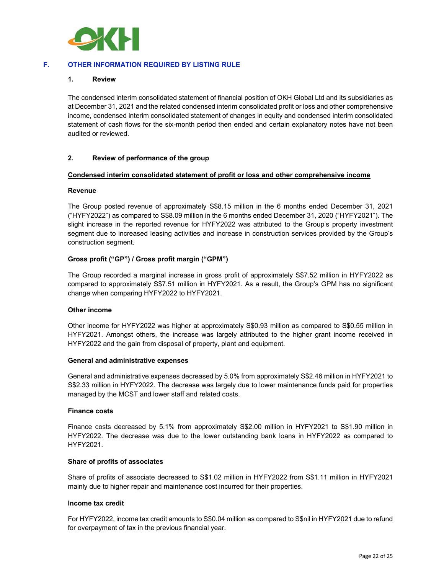

#### **F. OTHER INFORMATION REQUIRED BY LISTING RULE**

#### **1. Review**

The condensed interim consolidated statement of financial position of OKH Global Ltd and its subsidiaries as at December 31, 2021 and the related condensed interim consolidated profit or loss and other comprehensive income, condensed interim consolidated statement of changes in equity and condensed interim consolidated statement of cash flows for the six-month period then ended and certain explanatory notes have not been audited or reviewed.

#### **2. Review of performance of the group**

#### **Condensed interim consolidated statement of profit or loss and other comprehensive income**

#### **Revenue**

The Group posted revenue of approximately S\$8.15 million in the 6 months ended December 31, 2021 ("HYFY2022") as compared to S\$8.09 million in the 6 months ended December 31, 2020 ("HYFY2021"). The slight increase in the reported revenue for HYFY2022 was attributed to the Group's property investment segment due to increased leasing activities and increase in construction services provided by the Group's construction segment.

#### **Gross profit ("GP") / Gross profit margin ("GPM")**

The Group recorded a marginal increase in gross profit of approximately S\$7.52 million in HYFY2022 as compared to approximately S\$7.51 million in HYFY2021. As a result, the Group's GPM has no significant change when comparing HYFY2022 to HYFY2021.

#### **Other income**

Other income for HYFY2022 was higher at approximately S\$0.93 million as compared to S\$0.55 million in HYFY2021. Amongst others, the increase was largely attributed to the higher grant income received in HYFY2022 and the gain from disposal of property, plant and equipment.

#### **General and administrative expenses**

General and administrative expenses decreased by 5.0% from approximately S\$2.46 million in HYFY2021 to S\$2.33 million in HYFY2022. The decrease was largely due to lower maintenance funds paid for properties managed by the MCST and lower staff and related costs.

#### **Finance costs**

Finance costs decreased by 5.1% from approximately S\$2.00 million in HYFY2021 to S\$1.90 million in HYFY2022. The decrease was due to the lower outstanding bank loans in HYFY2022 as compared to HYFY2021.

#### **Share of profits of associates**

Share of profits of associate decreased to S\$1.02 million in HYFY2022 from S\$1.11 million in HYFY2021 mainly due to higher repair and maintenance cost incurred for their properties.

#### **Income tax credit**

For HYFY2022, income tax credit amounts to S\$0.04 million as compared to S\$nil in HYFY2021 due to refund for overpayment of tax in the previous financial year.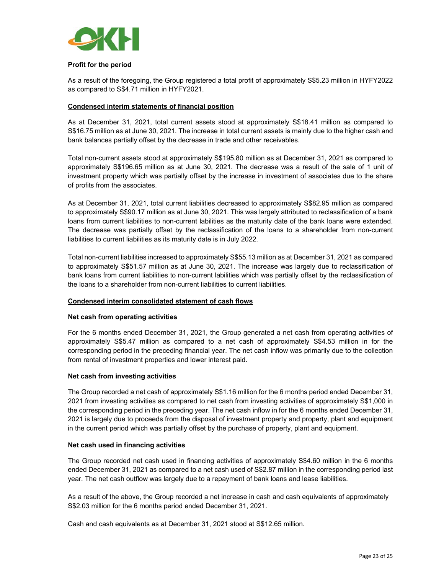

#### **Profit for the period**

As a result of the foregoing, the Group registered a total profit of approximately S\$5.23 million in HYFY2022 as compared to S\$4.71 million in HYFY2021.

#### **Condensed interim statements of financial position**

As at December 31, 2021, total current assets stood at approximately S\$18.41 million as compared to S\$16.75 million as at June 30, 2021. The increase in total current assets is mainly due to the higher cash and bank balances partially offset by the decrease in trade and other receivables.

Total non-current assets stood at approximately S\$195.80 million as at December 31, 2021 as compared to approximately S\$196.65 million as at June 30, 2021. The decrease was a result of the sale of 1 unit of investment property which was partially offset by the increase in investment of associates due to the share of profits from the associates.

As at December 31, 2021, total current liabilities decreased to approximately S\$82.95 million as compared to approximately S\$90.17 million as at June 30, 2021. This was largely attributed to reclassification of a bank loans from current liabilities to non-current labilities as the maturity date of the bank loans were extended. The decrease was partially offset by the reclassification of the loans to a shareholder from non-current liabilities to current liabilities as its maturity date is in July 2022.

Total non-current liabilities increased to approximately S\$55.13 million as at December 31, 2021 as compared to approximately S\$51.57 million as at June 30, 2021. The increase was largely due to reclassification of bank loans from current liabilities to non-current labilities which was partially offset by the reclassification of the loans to a shareholder from non-current liabilities to current liabilities.

#### **Condensed interim consolidated statement of cash flows**

#### **Net cash from operating activities**

For the 6 months ended December 31, 2021, the Group generated a net cash from operating activities of approximately S\$5.47 million as compared to a net cash of approximately S\$4.53 million in for the corresponding period in the preceding financial year. The net cash inflow was primarily due to the collection from rental of investment properties and lower interest paid.

#### **Net cash from investing activities**

The Group recorded a net cash of approximately S\$1.16 million for the 6 months period ended December 31, 2021 from investing activities as compared to net cash from investing activities of approximately S\$1,000 in the corresponding period in the preceding year. The net cash inflow in for the 6 months ended December 31, 2021 is largely due to proceeds from the disposal of investment property and property, plant and equipment in the current period which was partially offset by the purchase of property, plant and equipment.

#### **Net cash used in financing activities**

The Group recorded net cash used in financing activities of approximately S\$4.60 million in the 6 months ended December 31, 2021 as compared to a net cash used of S\$2.87 million in the corresponding period last year. The net cash outflow was largely due to a repayment of bank loans and lease liabilities.

As a result of the above, the Group recorded a net increase in cash and cash equivalents of approximately S\$2.03 million for the 6 months period ended December 31, 2021.

Cash and cash equivalents as at December 31, 2021 stood at S\$12.65 million.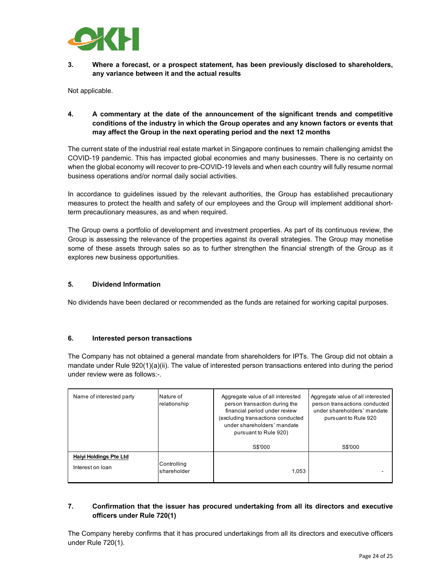

**3. Where a forecast, or a prospect statement, has been previously disclosed to shareholders, any variance between it and the actual results** 

Not applicable.

**4. A commentary at the date of the announcement of the significant trends and competitive conditions of the industry in which the Group operates and any known factors or events that may affect the Group in the next operating period and the next 12 months** 

The current state of the industrial real estate market in Singapore continues to remain challenging amidst the COVID-19 pandemic. This has impacted global economies and many businesses. There is no certainty on when the global economy will recover to pre-COVID-19 levels and when each country will fully resume normal business operations and/or normal daily social activities.

In accordance to guidelines issued by the relevant authorities, the Group has established precautionary measures to protect the health and safety of our employees and the Group will implement additional shortterm precautionary measures, as and when required.

The Group owns a portfolio of development and investment properties. As part of its continuous review, the Group is assessing the relevance of the properties against its overall strategies. The Group may monetise some of these assets through sales so as to further strengthen the financial strength of the Group as it explores new business opportunities.

#### **5. Dividend Information**

No dividends have been declared or recommended as the funds are retained for working capital purposes.

#### **6. Interested person transactions**

The Company has not obtained a general mandate from shareholders for IPTs. The Group did not obtain a mandate under Rule 920(1)(a)(ii). The value of interested person transactions entered into during the period under review were as follows:-.

| Name of interested party                   | Nature of<br>relationship  | Aggregate value of all interested<br>person transaction during the<br>financial period under review<br>(excluding transactions conducted<br>under shareholders' mandate<br>pursuant to Rule 920) | Aggregate value of all interested<br>person transactions conducted<br>under shareholders' mandate<br>pursuant to Rule 920 |
|--------------------------------------------|----------------------------|--------------------------------------------------------------------------------------------------------------------------------------------------------------------------------------------------|---------------------------------------------------------------------------------------------------------------------------|
|                                            |                            | S\$'000                                                                                                                                                                                          | S\$'000                                                                                                                   |
| Haiyi Holdings Pte Ltd<br>Interest on loan | Controlling<br>shareholder | 1.053                                                                                                                                                                                            |                                                                                                                           |

#### **7. Confirmation that the issuer has procured undertaking from all its directors and executive officers under Rule 720(1)**

The Company hereby confirms that it has procured undertakings from all its directors and executive officers under Rule 720(1).